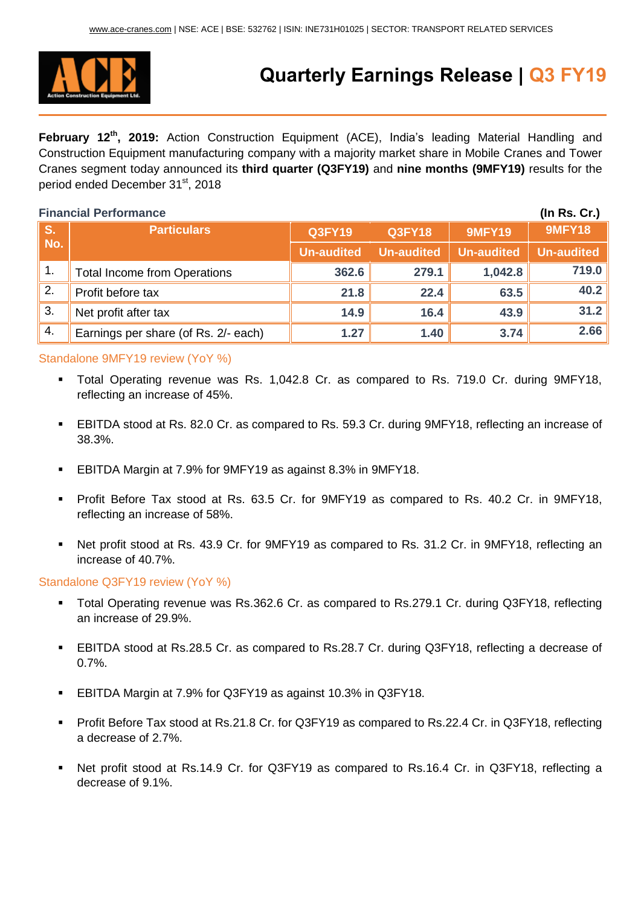

# **Quarterly Earnings Release | Q3 FY19**

**February 12th, 2019:** Action Construction Equipment (ACE), India's leading Material Handling and Construction Equipment manufacturing company with a majority market share in Mobile Cranes and Tower Cranes segment today announced its **third quarter (Q3FY19)** and **nine months (9MFY19)** results for the period ended December 31<sup>st</sup>, 2018

| <b>Financial Performance</b> |                                      |                   |                   |                   |                   |
|------------------------------|--------------------------------------|-------------------|-------------------|-------------------|-------------------|
| S.<br>No.                    | <b>Particulars</b>                   | <b>Q3FY19</b>     | <b>Q3FY18</b>     | <b>9MFY19</b>     | <b>9MFY18</b>     |
|                              |                                      | <b>Un-audited</b> | <b>Un-audited</b> | <b>Un-audited</b> | <b>Un-audited</b> |
| $\overline{1}$ .             | <b>Total Income from Operations</b>  | 362.6             | 279.1             | 1,042.8           | 719.0             |
| 2.                           | Profit before tax                    | 21.8              | 22.4              | 63.5              | 40.2              |
| 3.                           | Net profit after tax                 | 14.9              | 16.4              | 43.9              | 31.2              |
| 4.                           | Earnings per share (of Rs. 2/- each) | 1.27              | 1.40              | 3.74              | 2.66              |

### Standalone 9MFY19 review (YoY %)

- Total Operating revenue was Rs. 1,042.8 Cr. as compared to Rs. 719.0 Cr. during 9MFY18, reflecting an increase of 45%.
- EBITDA stood at Rs. 82.0 Cr. as compared to Rs. 59.3 Cr. during 9MFY18, reflecting an increase of 38.3%.
- EBITDA Margin at 7.9% for 9MFY19 as against 8.3% in 9MFY18.
- Profit Before Tax stood at Rs. 63.5 Cr. for 9MFY19 as compared to Rs. 40.2 Cr. in 9MFY18, reflecting an increase of 58%.
- Net profit stood at Rs. 43.9 Cr. for 9MFY19 as compared to Rs. 31.2 Cr. in 9MFY18, reflecting an increase of 40.7%.

### Standalone Q3FY19 review (YoY %)

- Total Operating revenue was Rs.362.6 Cr. as compared to Rs.279.1 Cr. during Q3FY18, reflecting an increase of 29.9%.
- EBITDA stood at Rs.28.5 Cr. as compared to Rs.28.7 Cr. during Q3FY18, reflecting a decrease of 0.7%.
- EBITDA Margin at 7.9% for Q3FY19 as against 10.3% in Q3FY18.
- Profit Before Tax stood at Rs.21.8 Cr. for Q3FY19 as compared to Rs.22.4 Cr. in Q3FY18, reflecting a decrease of 2.7%.
- Net profit stood at Rs.14.9 Cr. for Q3FY19 as compared to Rs.16.4 Cr. in Q3FY18, reflecting a decrease of 9.1%.